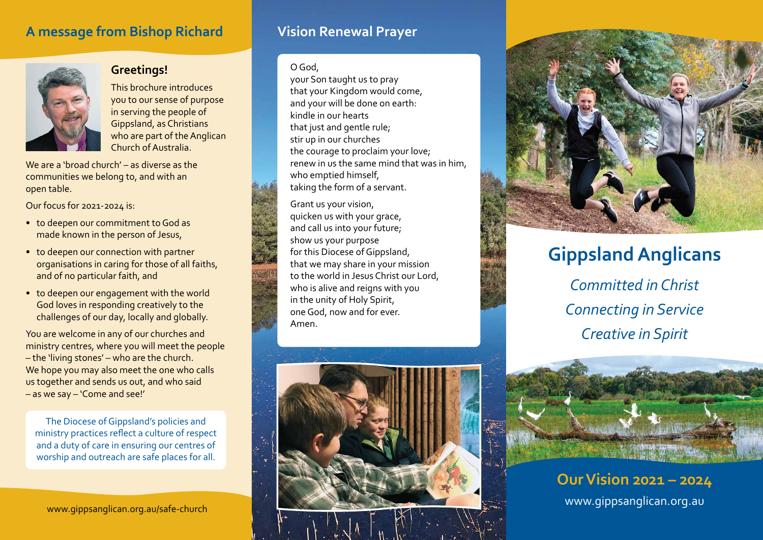## **A message from Bishop Richard**



## **Greetings!**

This brochure introduces you to our sense of purpose in serving the people of Gippsland, as Christians who are part of the Anglican Church of Australia.

We are a 'broad church' – as diverse as the communities we belong to, and with an open table.

Our focus for 2021-2024 is:

- to deepen our commitment to God as made known in the person of Jesus,
- to deepen our connection with partner organisations in caring for those of all faiths, and of no particular faith, and
- to deepen our engagement with the world God loves in responding creatively to the challenges of our day, locally and globally.

You are welcome in any of our churches and ministry centres, where you will meet the people – the 'living stones' – who are the church. We hope you may also meet the one who calls us together and sends us out, and who said – as we say – 'Come and see!'

The Diocese of Gippsland's policies and ministry practices reflect a culture of respect and a duty of care in ensuring our centres of worship and outreach are safe places for all.

www.gippsanglican.org.au/safe-church

## **Vision Renewal Prayer**

### O God,

your Son taught us to pray that your Kingdom would come, and your will be done on earth: kindle in our hearts that just and gentle rule; stir up in our churches the courage to proclaim your love; renew in us the same mind that was in him, who emptied himself, taking the form of a servant.

Grant us your vision, quicken us with your grace, and call us into your future; show us your purpose for this Diocese of Gippsland, that we may share in your mission to the world in Jesus Christ our Lord, who is alive and reigns with you in the unity of Holy Spirit, one God, now and for ever. Amen.





## **Gippsland Anglicans**

*Committed in Christ Connecting in Service Creative in Spirit*



**Our Vision 2021 – 2024** www.gippsanglican.org.au